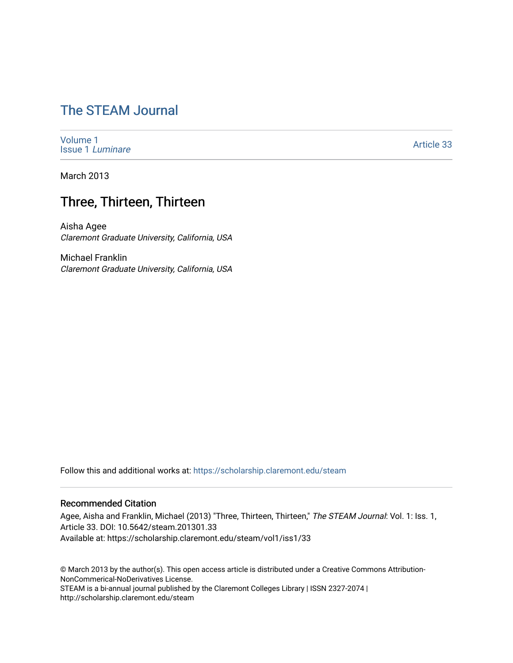# [The STEAM Journal](https://scholarship.claremont.edu/steam)

[Volume 1](https://scholarship.claremont.edu/steam/vol1) [Issue 1](https://scholarship.claremont.edu/steam/vol1/iss1) Luminare

[Article 33](https://scholarship.claremont.edu/steam/vol1/iss1/33) 

March 2013

## Three, Thirteen, Thirteen

Aisha Agee Claremont Graduate University, California, USA

Michael Franklin Claremont Graduate University, California, USA

Follow this and additional works at: [https://scholarship.claremont.edu/steam](https://scholarship.claremont.edu/steam?utm_source=scholarship.claremont.edu%2Fsteam%2Fvol1%2Fiss1%2F33&utm_medium=PDF&utm_campaign=PDFCoverPages) 

#### Recommended Citation

Agee, Aisha and Franklin, Michael (2013) "Three, Thirteen, Thirteen," The STEAM Journal: Vol. 1: Iss. 1, Article 33. DOI: 10.5642/steam.201301.33 Available at: https://scholarship.claremont.edu/steam/vol1/iss1/33

© March 2013 by the author(s). This open access article is distributed under a Creative Commons Attribution-NonCommerical-NoDerivatives License. STEAM is a bi-annual journal published by the Claremont Colleges Library | ISSN 2327-2074 | http://scholarship.claremont.edu/steam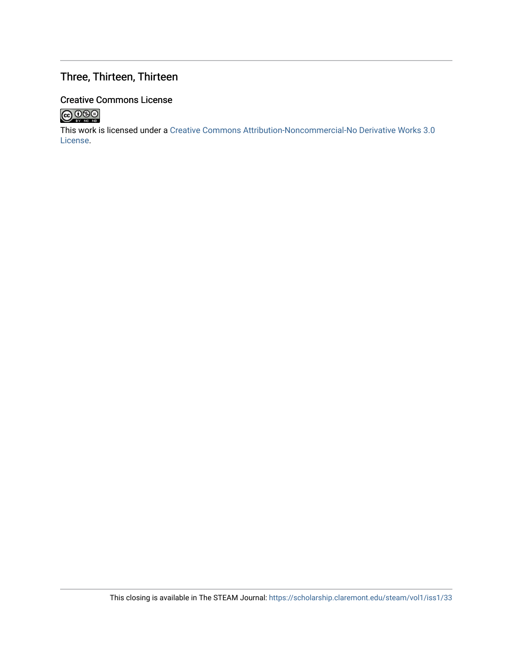### Three, Thirteen, Thirteen

### Creative Commons License



This work is licensed under a [Creative Commons Attribution-Noncommercial-No Derivative Works 3.0](https://creativecommons.org/licenses/by-nc-nd/3.0/) [License](https://creativecommons.org/licenses/by-nc-nd/3.0/).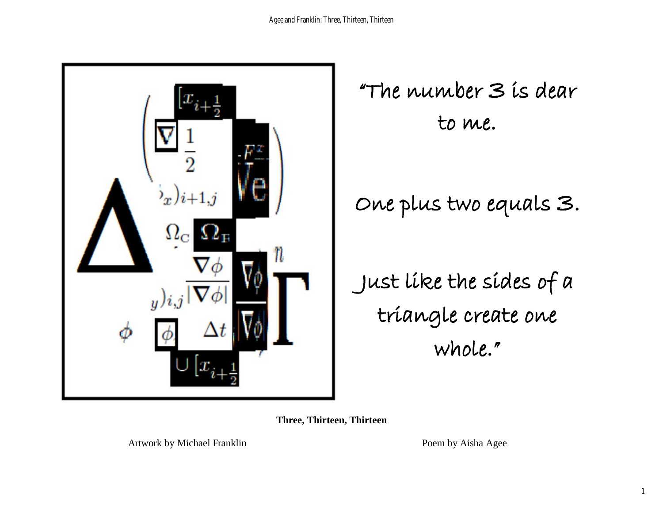

"The number 3 is dear to me.

Just like the sides of a triangle create one whole."

**Three, Thirteen, Thirteen** 

Artwork by Michael Franklin Poem by Aisha Agee